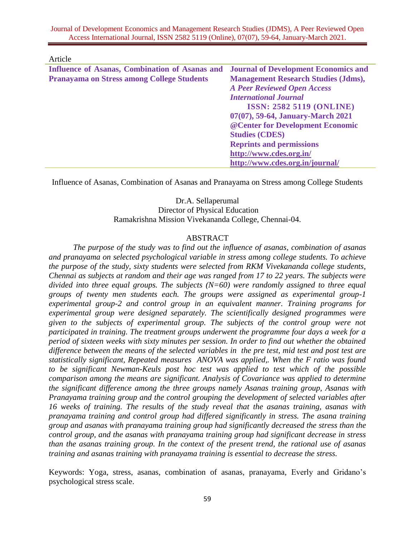Journal of Development Economics and Management Research Studies (JDMS), A Peer Reviewed Open Access International Journal, ISSN 2582 5119 (Online), 07(07), 59-64, January-March 2021.

Article

| Influence of Asanas, Combination of Asanas and    | <b>Journal of Development Economics and</b> |
|---------------------------------------------------|---------------------------------------------|
| <b>Pranayama on Stress among College Students</b> | <b>Management Research Studies (Jdms),</b>  |
|                                                   | <b>A Peer Reviewed Open Access</b>          |
|                                                   | <b>International Journal</b>                |
|                                                   | <b>ISSN: 2582 5119 (ONLINE)</b>             |
|                                                   | 07(07), 59-64, January-March 2021           |
|                                                   | @ Center for Development Economic           |
|                                                   | <b>Studies (CDES)</b>                       |
|                                                   | <b>Reprints and permissions</b>             |
|                                                   | http://www.cdes.org.in/                     |
|                                                   | http://www.cdes.org.in/journal/             |

Influence of Asanas, Combination of Asanas and Pranayama on Stress among College Students

# Dr.A. Sellaperumal Director of Physical Education Ramakrishna Mission Vivekananda College, Chennai-04.

### ABSTRACT

*The purpose of the study was to find out the influence of asanas, combination of asanas and pranayama on selected psychological variable in stress among college students. To achieve the purpose of the study, sixty students were selected from RKM Vivekananda college students, Chennai as subjects at random and their age was ranged from 17 to 22 years. The subjects were divided into three equal groups. The subjects (N=60) were randomly assigned to three equal groups of twenty men students each. The groups were assigned as experimental group-1 experimental group-2 and control group in an equivalent manner. Training programs for experimental group were designed separately. The scientifically designed programmes were given to the subjects of experimental group. The subjects of the control group were not participated in training. The treatment groups underwent the programme four days a week for a period of sixteen weeks with sixty minutes per session. In order to find out whether the obtained difference between the means of the selected variables in the pre test, mid test and post test are statistically significant, Repeated measures ANOVA was applied,. When the F ratio was found to be significant Newman-Keuls post hoc test was applied to test which of the possible comparison among the means are significant. Analysis of Covariance was applied to determine the significant difference among the three groups namely Asanas training group, Asanas with Pranayama training group and the control grouping the development of selected variables after 16 weeks of training. The results of the study reveal that the asanas training, asanas with pranayama training and control group had differed significantly in stress. The asana training group and asanas with pranayama training group had significantly decreased the stress than the control group, and the asanas with pranayama training group had significant decrease in stress than the asanas training group. In the context of the present trend, the rational use of asanas training and asanas training with pranayama training is essential to decrease the stress.*

Keywords: Yoga, stress, asanas, combination of asanas, pranayama, Everly and Gridano's psychological stress scale.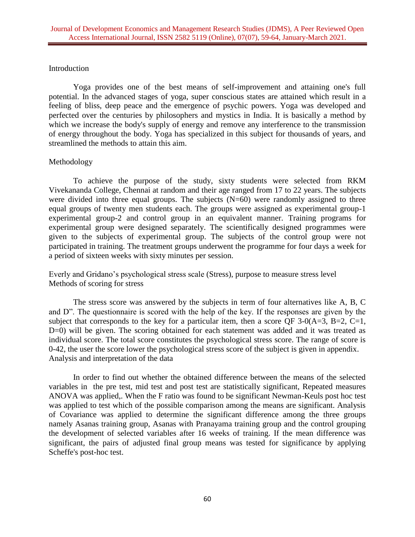#### Introduction

Yoga provides one of the best means of self-improvement and attaining one's full potential. In the advanced stages of yoga, super conscious states are attained which result in a feeling of bliss, deep peace and the emergence of psychic powers. Yoga was developed and perfected over the centuries by philosophers and mystics in India. It is basically a method by which we increase the body's supply of energy and remove any interference to the transmission of energy throughout the body. Yoga has specialized in this subject for thousands of years, and streamlined the methods to attain this aim.

### Methodology

To achieve the purpose of the study, sixty students were selected from RKM Vivekananda College, Chennai at random and their age ranged from 17 to 22 years. The subjects were divided into three equal groups. The subjects  $(N=60)$  were randomly assigned to three equal groups of twenty men students each. The groups were assigned as experimental group-1 experimental group-2 and control group in an equivalent manner. Training programs for experimental group were designed separately. The scientifically designed programmes were given to the subjects of experimental group. The subjects of the control group were not participated in training. The treatment groups underwent the programme for four days a week for a period of sixteen weeks with sixty minutes per session.

Everly and Gridano's psychological stress scale (Stress), purpose to measure stress level Methods of scoring for stress

The stress score was answered by the subjects in term of four alternatives like A, B, C and D". The questionnaire is scored with the help of the key. If the responses are given by the subject that corresponds to the key for a particular item, then a score QF 3-0( $A=3$ ,  $B=2$ ,  $C=1$ , D=0) will be given. The scoring obtained for each statement was added and it was treated as individual score. The total score constitutes the psychological stress score. The range of score is 0-42, the user the score lower the psychological stress score of the subject is given in appendix. Analysis and interpretation of the data

In order to find out whether the obtained difference between the means of the selected variables in the pre test, mid test and post test are statistically significant, Repeated measures ANOVA was applied,. When the F ratio was found to be significant Newman-Keuls post hoc test was applied to test which of the possible comparison among the means are significant. Analysis of Covariance was applied to determine the significant difference among the three groups namely Asanas training group, Asanas with Pranayama training group and the control grouping the development of selected variables after 16 weeks of training. If the mean difference was significant, the pairs of adjusted final group means was tested for significance by applying Scheffe's post-hoc test.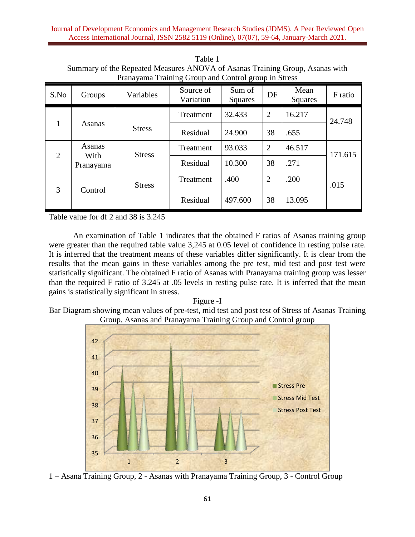| I ranayama Training Group and Control group in Sucss |                |               |                        |                   |                          |                 |         |  |  |
|------------------------------------------------------|----------------|---------------|------------------------|-------------------|--------------------------|-----------------|---------|--|--|
| S.No                                                 | Groups         | Variables     | Source of<br>Variation | Sum of<br>Squares | DF                       | Mean<br>Squares | F ratio |  |  |
| $\mathbf{1}$                                         | Asanas         |               | Treatment              | 32.433            | $\overline{2}$<br>16.217 |                 | 24.748  |  |  |
|                                                      |                | <b>Stress</b> | Residual               | 24.900            |                          | .655            |         |  |  |
| 2                                                    | Asanas<br>With | <b>Stress</b> | Treatment              | 93.033            | $\overline{2}$           | 46.517          | 171.615 |  |  |
|                                                      | Pranayama      |               | Residual               | 10.300            | 38                       | .271            |         |  |  |
| 3                                                    | Control        | <b>Stress</b> | Treatment              | .400              | $\overline{2}$           | .200            | .015    |  |  |
|                                                      |                |               | Residual               | 497.600           | 38                       | 13.095          |         |  |  |

Table 1 Summary of the Repeated Measures ANOVA of Asanas Training Group, Asanas with Pranayama Training Group and Control group in Stress

Table value for df 2 and 38 is 3.245

An examination of Table 1 indicates that the obtained F ratios of Asanas training group were greater than the required table value 3,245 at 0.05 level of confidence in resting pulse rate. It is inferred that the treatment means of these variables differ significantly. It is clear from the results that the mean gains in these variables among the pre test, mid test and post test were statistically significant. The obtained F ratio of Asanas with Pranayama training group was lesser than the required F ratio of 3.245 at .05 levels in resting pulse rate. It is inferred that the mean gains is statistically significant in stress.

Figure -I

Bar Diagram showing mean values of pre-test, mid test and post test of Stress of Asanas Training Group, Asanas and Pranayama Training Group and Control group



1 – Asana Training Group, 2 - Asanas with Pranayama Training Group, 3 - Control Group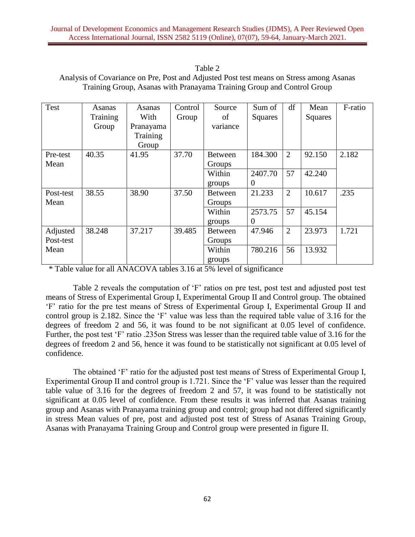| Tanie z                                                                                 |
|-----------------------------------------------------------------------------------------|
| Analysis of Covariance on Pre, Post and Adjusted Post test means on Stress among Asanas |
| Training Group, Asanas with Pranayama Training Group and Control Group                  |

 $T - 1 - 2$ 

| Test                  | Asanas<br>Training | Asanas<br>With                 | Control<br>Group | Source<br>of             | Sum of<br>Squares         | df             | Mean<br><b>Squares</b> | F-ratio |
|-----------------------|--------------------|--------------------------------|------------------|--------------------------|---------------------------|----------------|------------------------|---------|
|                       | Group              | Pranayama<br>Training<br>Group |                  | variance                 |                           |                |                        |         |
| Pre-test<br>Mean      | 40.35              | 41.95                          | 37.70            | <b>Between</b><br>Groups | 184.300                   | $\overline{2}$ | 92.150                 | 2.182   |
|                       |                    |                                |                  | Within<br>groups         | 2407.70<br>$\overline{0}$ | 57             | 42.240                 |         |
| Post-test<br>Mean     | 38.55              | 38.90                          | 37.50            | <b>Between</b><br>Groups | 21.233                    | $\overline{2}$ | 10.617                 | .235    |
|                       |                    |                                |                  | Within<br>groups         | 2573.75<br>0              | 57             | 45.154                 |         |
| Adjusted<br>Post-test | 38.248             | 37.217                         | 39.485           | <b>Between</b><br>Groups | 47.946                    | $\overline{2}$ | 23.973                 | 1.721   |
| Mean                  |                    |                                |                  | Within<br>groups         | 780.216                   | 56             | 13.932                 |         |

\* Table value for all ANACOVA tables 3.16 at 5% level of significance

Table 2 reveals the computation of 'F' ratios on pre test, post test and adjusted post test means of Stress of Experimental Group I, Experimental Group II and Control group. The obtained 'F' ratio for the pre test means of Stress of Experimental Group I, Experimental Group II and control group is 2.182. Since the 'F' value was less than the required table value of 3.16 for the degrees of freedom 2 and 56, it was found to be not significant at 0.05 level of confidence. Further, the post test 'F' ratio .235on Stress was lesser than the required table value of 3.16 for the degrees of freedom 2 and 56, hence it was found to be statistically not significant at 0.05 level of confidence.

The obtained 'F' ratio for the adjusted post test means of Stress of Experimental Group I, Experimental Group II and control group is 1.721. Since the 'F' value was lesser than the required table value of 3.16 for the degrees of freedom 2 and 57, it was found to be statistically not significant at 0.05 level of confidence. From these results it was inferred that Asanas training group and Asanas with Pranayama training group and control; group had not differed significantly in stress Mean values of pre, post and adjusted post test of Stress of Asanas Training Group, Asanas with Pranayama Training Group and Control group were presented in figure II.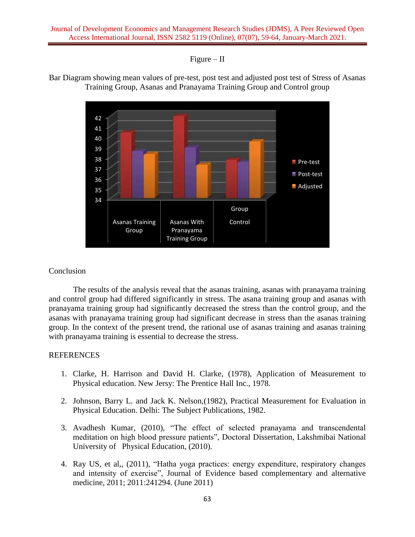## $Figure - II$





### Conclusion

The results of the analysis reveal that the asanas training, asanas with pranayama training and control group had differed significantly in stress. The asana training group and asanas with pranayama training group had significantly decreased the stress than the control group, and the asanas with pranayama training group had significant decrease in stress than the asanas training group. In the context of the present trend, the rational use of asanas training and asanas training with pranayama training is essential to decrease the stress.

### REFERENCES

- 1. Clarke, H. Harrison and David H. Clarke, (1978), Application of Measurement to Physical education. New Jersy: The Prentice Hall Inc., 1978.
- 2. Johnson, Barry L. and Jack K. Nelson,(1982), Practical Measurement for Evaluation in Physical Education. Delhi: The Subject Publications, 1982.
- 3. Avadhesh Kumar, (2010), "The effect of selected pranayama and transcendental meditation on high blood pressure patients", Doctoral Dissertation, Lakshmibai National University of Physical Education, (2010).
- 4. Ray US, et al,, (2011), "Hatha yoga practices: energy expenditure, respiratory changes and intensity of exercise", Journal of Evidence based complementary and alternative medicine, 2011; 2011:241294. (June 2011)